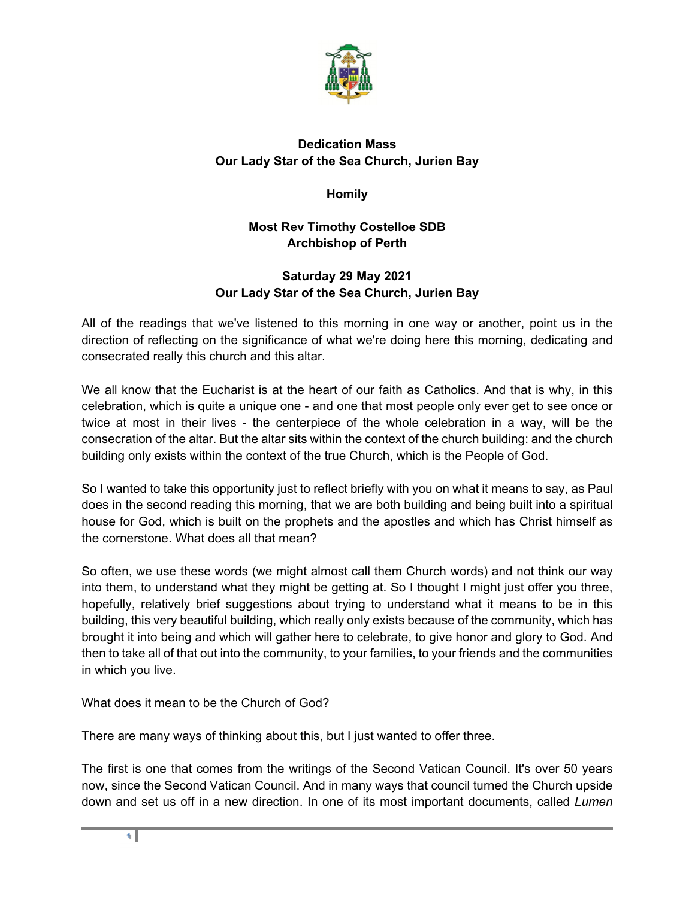

## **Dedication Mass Our Lady Star of the Sea Church, Jurien Bay**

**Homily** 

## **Most Rev Timothy Costelloe SDB Archbishop of Perth**

## **Saturday 29 May 2021 Our Lady Star of the Sea Church, Jurien Bay**

All of the readings that we've listened to this morning in one way or another, point us in the direction of reflecting on the significance of what we're doing here this morning, dedicating and consecrated really this church and this altar.

We all know that the Eucharist is at the heart of our faith as Catholics. And that is why, in this celebration, which is quite a unique one - and one that most people only ever get to see once or twice at most in their lives - the centerpiece of the whole celebration in a way, will be the consecration of the altar. But the altar sits within the context of the church building: and the church building only exists within the context of the true Church, which is the People of God.

So I wanted to take this opportunity just to reflect briefly with you on what it means to say, as Paul does in the second reading this morning, that we are both building and being built into a spiritual house for God, which is built on the prophets and the apostles and which has Christ himself as the cornerstone. What does all that mean?

So often, we use these words (we might almost call them Church words) and not think our way into them, to understand what they might be getting at. So I thought I might just offer you three, hopefully, relatively brief suggestions about trying to understand what it means to be in this building, this very beautiful building, which really only exists because of the community, which has brought it into being and which will gather here to celebrate, to give honor and glory to God. And then to take all of that out into the community, to your families, to your friends and the communities in which you live.

What does it mean to be the Church of God?

There are many ways of thinking about this, but I just wanted to offer three.

The first is one that comes from the writings of the Second Vatican Council. It's over 50 years now, since the Second Vatican Council. And in many ways that council turned the Church upside down and set us off in a new direction. In one of its most important documents, called *Lumen*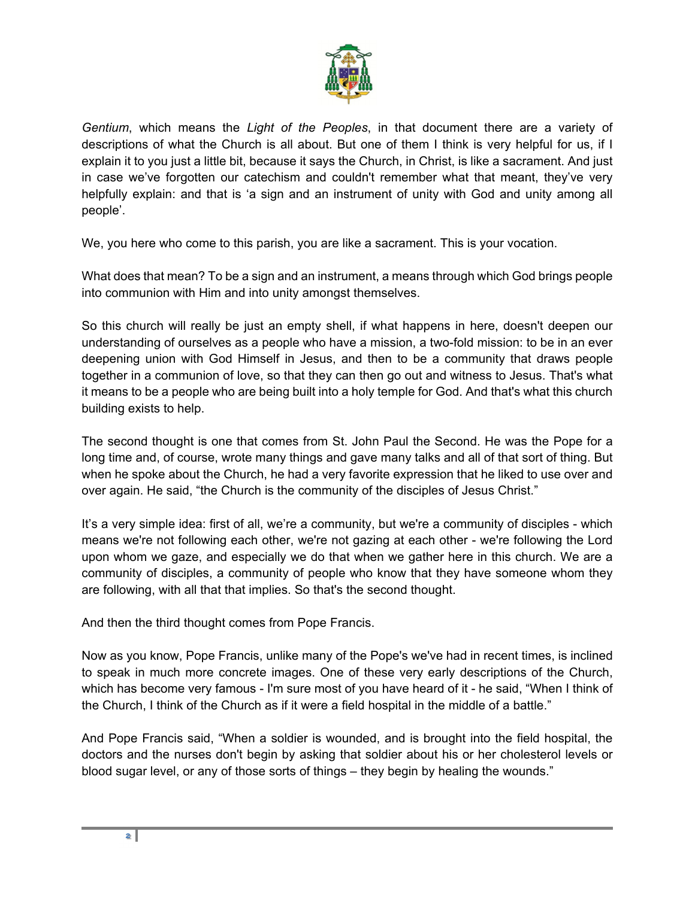

*Gentium*, which means the *Light of the Peoples*, in that document there are a variety of descriptions of what the Church is all about. But one of them I think is very helpful for us, if I explain it to you just a little bit, because it says the Church, in Christ, is like a sacrament. And just in case we've forgotten our catechism and couldn't remember what that meant, they've very helpfully explain: and that is 'a sign and an instrument of unity with God and unity among all people'.

We, you here who come to this parish, you are like a sacrament. This is your vocation.

What does that mean? To be a sign and an instrument, a means through which God brings people into communion with Him and into unity amongst themselves.

So this church will really be just an empty shell, if what happens in here, doesn't deepen our understanding of ourselves as a people who have a mission, a two-fold mission: to be in an ever deepening union with God Himself in Jesus, and then to be a community that draws people together in a communion of love, so that they can then go out and witness to Jesus. That's what it means to be a people who are being built into a holy temple for God. And that's what this church building exists to help.

The second thought is one that comes from St. John Paul the Second. He was the Pope for a long time and, of course, wrote many things and gave many talks and all of that sort of thing. But when he spoke about the Church, he had a very favorite expression that he liked to use over and over again. He said, "the Church is the community of the disciples of Jesus Christ."

It's a very simple idea: first of all, we're a community, but we're a community of disciples - which means we're not following each other, we're not gazing at each other - we're following the Lord upon whom we gaze, and especially we do that when we gather here in this church. We are a community of disciples, a community of people who know that they have someone whom they are following, with all that that implies. So that's the second thought.

And then the third thought comes from Pope Francis.

Now as you know, Pope Francis, unlike many of the Pope's we've had in recent times, is inclined to speak in much more concrete images. One of these very early descriptions of the Church, which has become very famous - I'm sure most of you have heard of it - he said, "When I think of the Church, I think of the Church as if it were a field hospital in the middle of a battle."

And Pope Francis said, "When a soldier is wounded, and is brought into the field hospital, the doctors and the nurses don't begin by asking that soldier about his or her cholesterol levels or blood sugar level, or any of those sorts of things – they begin by healing the wounds."